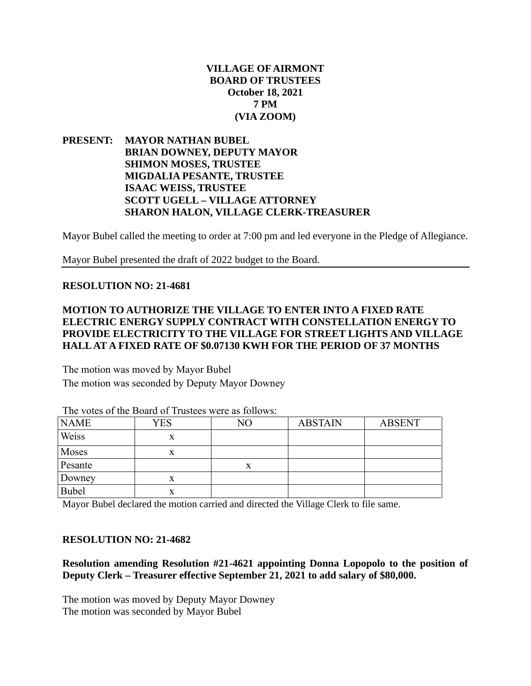## **VILLAGE OF AIRMONT BOARD OF TRUSTEES October 18, 2021 7 PM (VIA ZOOM)**

**PRESENT: MAYOR NATHAN BUBEL BRIAN DOWNEY, DEPUTY MAYOR SHIMON MOSES, TRUSTEE MIGDALIA PESANTE, TRUSTEE ISAAC WEISS, TRUSTEE SCOTT UGELL – VILLAGE ATTORNEY SHARON HALON, VILLAGE CLERK-TREASURER**

Mayor Bubel called the meeting to order at 7:00 pm and led everyone in the Pledge of Allegiance.

Mayor Bubel presented the draft of 2022 budget to the Board.

#### **RESOLUTION NO: 21-4681**

## **MOTION TO AUTHORIZE THE VILLAGE TO ENTER INTO A FIXED RATE ELECTRIC ENERGY SUPPLY CONTRACT WITH CONSTELLATION ENERGY TO PROVIDE ELECTRICITY TO THE VILLAGE FOR STREET LIGHTS AND VILLAGE HALL AT A FIXED RATE OF \$0.07130 KWH FOR THE PERIOD OF 37 MONTHS**

The motion was moved by Mayor Bubel The motion was seconded by Deputy Mayor Downey

| <b>NAME</b>  | <b>YES</b> | NO | <b>ABSTAIN</b> | <b>ABSENT</b> |
|--------------|------------|----|----------------|---------------|
| Weiss        | X          |    |                |               |
| Moses        | x          |    |                |               |
| Pesante      |            | x  |                |               |
| Downey       | x          |    |                |               |
| <b>Bubel</b> | x          |    |                |               |

The votes of the Board of Trustees were as follows:

Mayor Bubel declared the motion carried and directed the Village Clerk to file same.

#### **RESOLUTION NO: 21-4682**

**Resolution amending Resolution #21-4621 appointing Donna Lopopolo to the position of Deputy Clerk – Treasurer effective September 21, 2021 to add salary of \$80,000.**

The motion was moved by Deputy Mayor Downey The motion was seconded by Mayor Bubel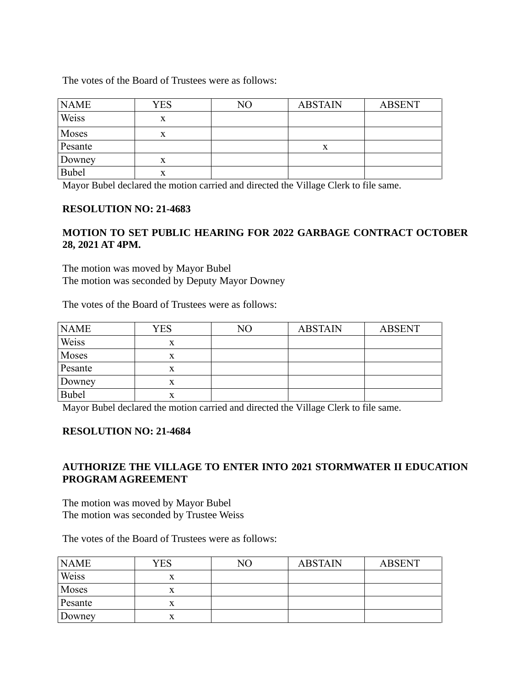The votes of the Board of Trustees were as follows:

| <b>NAME</b>  | YES | NΟ | <b>ABSTAIN</b> | <b>ABSENT</b> |
|--------------|-----|----|----------------|---------------|
| Weiss        | x   |    |                |               |
| Moses        | x   |    |                |               |
| Pesante      |     |    | x              |               |
| Downey       | X   |    |                |               |
| <b>Bubel</b> | x   |    |                |               |

Mayor Bubel declared the motion carried and directed the Village Clerk to file same.

### **RESOLUTION NO: 21-4683**

### **MOTION TO SET PUBLIC HEARING FOR 2022 GARBAGE CONTRACT OCTOBER 28, 2021 AT 4PM.**

The motion was moved by Mayor Bubel The motion was seconded by Deputy Mayor Downey

The votes of the Board of Trustees were as follows:

| <b>NAME</b> | <b>YES</b> | NΟ | <b>ABSTAIN</b> | <b>ABSENT</b> |
|-------------|------------|----|----------------|---------------|
| Weiss       | x          |    |                |               |
| Moses       | л          |    |                |               |
| Pesante     | X          |    |                |               |
| Downey      | X          |    |                |               |
| Bubel       | x          |    |                |               |

Mayor Bubel declared the motion carried and directed the Village Clerk to file same.

### **RESOLUTION NO: 21-4684**

## **AUTHORIZE THE VILLAGE TO ENTER INTO 2021 STORMWATER II EDUCATION PROGRAM AGREEMENT**

The motion was moved by Mayor Bubel The motion was seconded by Trustee Weiss

The votes of the Board of Trustees were as follows:

| <b>NAME</b> | YES | NO | <b>ABSTAIN</b> | <b>ABSENT</b> |
|-------------|-----|----|----------------|---------------|
| Weiss       | л   |    |                |               |
| Moses       | л   |    |                |               |
| Pesante     | л   |    |                |               |
| Downey      |     |    |                |               |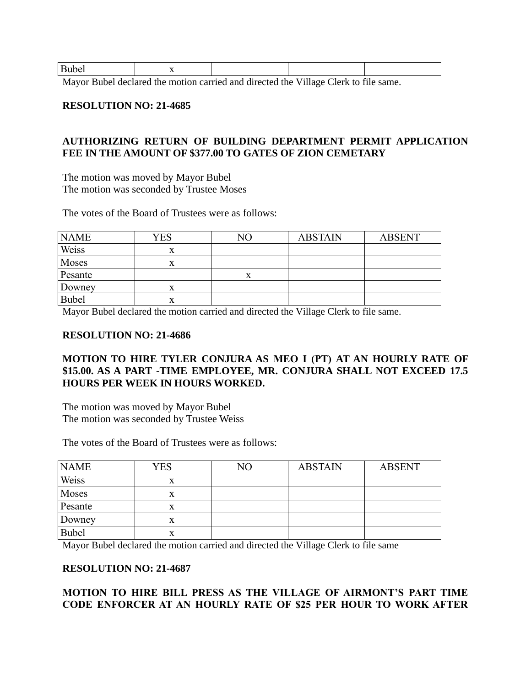| $\mathbf{D}$<br>----- |                                                                                                                                                                                                                                                                                                                  |        |              |
|-----------------------|------------------------------------------------------------------------------------------------------------------------------------------------------------------------------------------------------------------------------------------------------------------------------------------------------------------|--------|--------------|
| - -<br>- - 111        | $\mathbf{r}$ , $\mathbf{r}$ , $\mathbf{r}$ , $\mathbf{r}$ , $\mathbf{r}$ , $\mathbf{r}$ , $\mathbf{r}$ , $\mathbf{r}$ , $\mathbf{r}$ , $\mathbf{r}$ , $\mathbf{r}$ , $\mathbf{r}$ , $\mathbf{r}$ , $\mathbf{r}$ , $\mathbf{r}$ , $\mathbf{r}$ , $\mathbf{r}$ , $\mathbf{r}$ , $\mathbf{r}$ , $\mathbf{r}$ ,<br>. | $\sim$ | $\mathbf{A}$ |

Mayor Bubel declared the motion carried and directed the Village Clerk to file same.

#### **RESOLUTION NO: 21-4685**

## **AUTHORIZING RETURN OF BUILDING DEPARTMENT PERMIT APPLICATION FEE IN THE AMOUNT OF \$377.00 TO GATES OF ZION CEMETARY**

The motion was moved by Mayor Bubel The motion was seconded by Trustee Moses

The votes of the Board of Trustees were as follows:

| <b>NAME</b> | <b>YES</b> | NΟ | <b>ABSTAIN</b> | <b>ABSENT</b> |
|-------------|------------|----|----------------|---------------|
| Weiss       |            |    |                |               |
| Moses       |            |    |                |               |
| Pesante     |            |    |                |               |
| Downey      |            |    |                |               |
| Bubel       | л          |    |                |               |

Mayor Bubel declared the motion carried and directed the Village Clerk to file same.

#### **RESOLUTION NO: 21-4686**

## **MOTION TO HIRE TYLER CONJURA AS MEO I (PT) AT AN HOURLY RATE OF \$15.00. AS A PART -TIME EMPLOYEE, MR. CONJURA SHALL NOT EXCEED 17.5 HOURS PER WEEK IN HOURS WORKED.**

The motion was moved by Mayor Bubel The motion was seconded by Trustee Weiss

The votes of the Board of Trustees were as follows:

| <b>NAME</b> | <b>YES</b> | NO | <b>ABSTAIN</b> | <b>ABSENT</b> |
|-------------|------------|----|----------------|---------------|
| Weiss       | X          |    |                |               |
| Moses       | X          |    |                |               |
| Pesante     | X          |    |                |               |
| Downey      | x          |    |                |               |
| Bubel       | x          |    |                |               |

Mayor Bubel declared the motion carried and directed the Village Clerk to file same

### **RESOLUTION NO: 21-4687**

# **MOTION TO HIRE BILL PRESS AS THE VILLAGE OF AIRMONT'S PART TIME CODE ENFORCER AT AN HOURLY RATE OF \$25 PER HOUR TO WORK AFTER**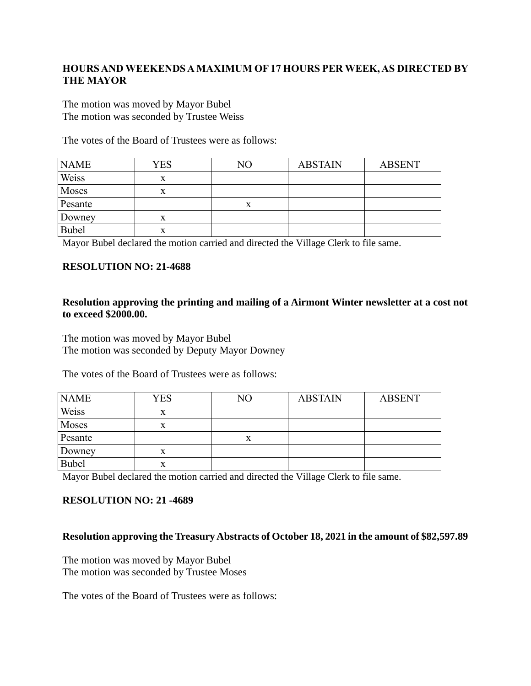## **HOURS AND WEEKENDS A MAXIMUM OF 17 HOURS PER WEEK, AS DIRECTED BY THE MAYOR**

The motion was moved by Mayor Bubel The motion was seconded by Trustee Weiss

The votes of the Board of Trustees were as follows:

| <b>NAME</b>  | <b>YES</b> | NO | <b>ABSTAIN</b> | <b>ABSENT</b> |
|--------------|------------|----|----------------|---------------|
| Weiss        | x          |    |                |               |
| Moses        | X          |    |                |               |
| Pesante      |            | A  |                |               |
| Downey       | x          |    |                |               |
| <b>Bubel</b> | X          |    |                |               |

Mayor Bubel declared the motion carried and directed the Village Clerk to file same.

### **RESOLUTION NO: 21-4688**

### **Resolution approving the printing and mailing of a Airmont Winter newsletter at a cost not to exceed \$2000.00.**

The motion was moved by Mayor Bubel The motion was seconded by Deputy Mayor Downey

The votes of the Board of Trustees were as follows:

| <b>NAME</b> | <b>YES</b> | NO | <b>ABSTAIN</b> | <b>ABSENT</b> |
|-------------|------------|----|----------------|---------------|
| Weiss       | x          |    |                |               |
| Moses       | x          |    |                |               |
| Pesante     |            | X  |                |               |
| Downey      | x          |    |                |               |
| Bubel       | x          |    |                |               |

Mayor Bubel declared the motion carried and directed the Village Clerk to file same.

### **RESOLUTION NO: 21 -4689**

### **Resolution approving the Treasury Abstracts of October 18, 2021 in the amount of \$82,597.89**

The motion was moved by Mayor Bubel The motion was seconded by Trustee Moses

The votes of the Board of Trustees were as follows: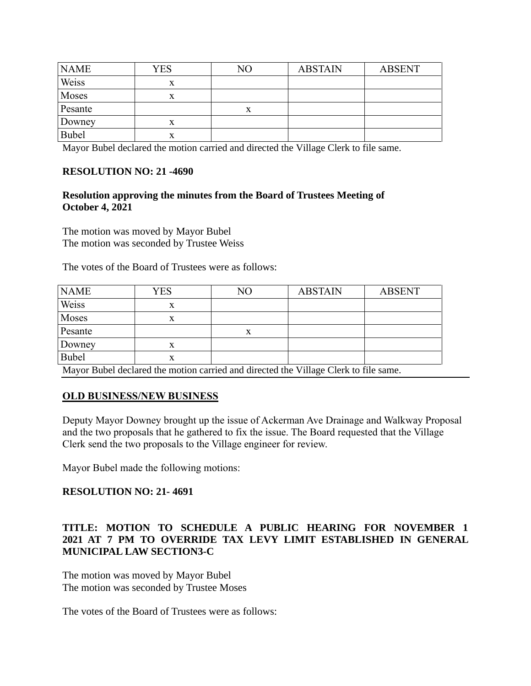| <b>NAME</b>  | <b>YES</b> | NO | <b>ABSTAIN</b> | <b>ABSENT</b> |
|--------------|------------|----|----------------|---------------|
| Weiss        | x          |    |                |               |
| Moses        | л          |    |                |               |
| Pesante      |            | X  |                |               |
| Downey       | x          |    |                |               |
| <b>Bubel</b> | x          |    |                |               |

Mayor Bubel declared the motion carried and directed the Village Clerk to file same.

## **RESOLUTION NO: 21 -4690**

## **Resolution approving the minutes from the Board of Trustees Meeting of October 4, 2021**

The motion was moved by Mayor Bubel The motion was seconded by Trustee Weiss

The votes of the Board of Trustees were as follows:

| <b>NAME</b>  | YES | NO                                                                                  | <b>ABSTAIN</b> | <b>ABSENT</b> |
|--------------|-----|-------------------------------------------------------------------------------------|----------------|---------------|
| Weiss        |     |                                                                                     |                |               |
| Moses        |     |                                                                                     |                |               |
| Pesante      |     | x                                                                                   |                |               |
| Downey       |     |                                                                                     |                |               |
| <b>Bubel</b> |     |                                                                                     |                |               |
|              |     | Mayor Bubel declared the motion carried and directed the Village Clerk to file same |                |               |

Mayor Bubel declared the motion carried and directed the Village Clerk to file same.

## **OLD BUSINESS/NEW BUSINESS**

Deputy Mayor Downey brought up the issue of Ackerman Ave Drainage and Walkway Proposal and the two proposals that he gathered to fix the issue. The Board requested that the Village Clerk send the two proposals to the Village engineer for review.

Mayor Bubel made the following motions:

## **RESOLUTION NO: 21- 4691**

## **TITLE: MOTION TO SCHEDULE A PUBLIC HEARING FOR NOVEMBER 1 2021 AT 7 PM TO OVERRIDE TAX LEVY LIMIT ESTABLISHED IN GENERAL MUNICIPAL LAW SECTION3-C**

The motion was moved by Mayor Bubel The motion was seconded by Trustee Moses

The votes of the Board of Trustees were as follows: